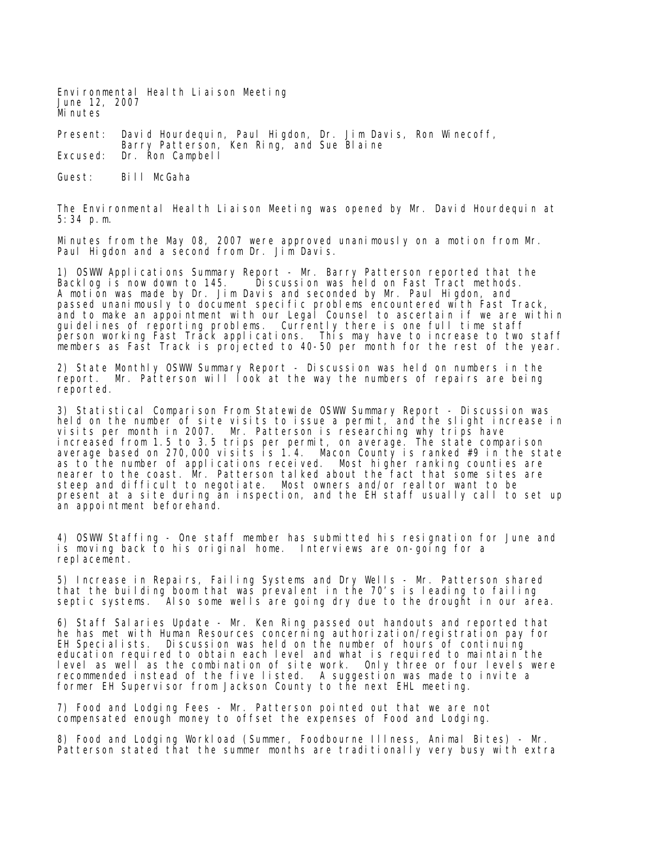Environmental Health Liaison Meeting June 12, 2007 Minutes

Present: David Hourdequin, Paul Higdon, Dr. Jim Davis, Ron Winecoff, Barry Patterson, Ken Ring, and Sue Blaine Excused: Dr. Ron Campbell

Guest: Bill McGaha

The Environmental Health Liaison Meeting was opened by Mr. David Hourdequin at 5:34 p.m.

Minutes from the May 08, 2007 were approved unanimously on a motion from Mr. Paul Higdon and a second from Dr. Jim Davis.

1) OSWW Applications Summary Report - Mr. Barry Patterson reported that the Backlog is now down to 145. Discussion was held on Fast Tract methods. A motion was made by Dr. Jim Davis and seconded by Mr. Paul Higdon, and passed unanimously to document specific problems encountered with Fast Track, and to make an appointment with our Legal Counsel to ascertain if we are within guidelines of reporting problems. Currently there is one full time staff person working Fast Track applications. This may have to increase to two staff members as Fast Track is projected to 40-50 per month for the rest of the year.

2) State Monthly OSWW Summary Report - Discussion was held on numbers in the report. Mr. Patterson will look at the way the numbers of repairs are being reported.

3) Statistical Comparison From Statewide OSWW Summary Report - Discussion was held on the number of site visits to issue a permit, and the slight increase in visits per month in 2007. Mr. Patterson is researching why trips have increased from 1.5 to 3.5 trips per permit, on average. The state comparison average based on 270,000 visits is 1.4. Macon County is ranked #9 in the state as to the number of applications received. Most higher ranking counties are nearer to the coast. Mr. Patterson talked about the fact that some sites are steep and difficult to negotiate. Most owners and/or realtor want to be present at a site during an inspection, and the EH staff usually call to set up an appointment beforehand.

4) OSWW Staffing - One staff member has submitted his resignation for June and is moving back to his original home. Interviews are on-going for a replacement.

5) Increase in Repairs, Failing Systems and Dry Wells - Mr. Patterson shared that the building boom that was prevalent in the 70's is leading to failing septic systems. Also some wells are going dry due to the drought in our area.

6) Staff Salaries Update - Mr. Ken Ring passed out handouts and reported that he has met with Human Resources concerning authorization/registration pay for<br>EH Specialists. Discussion was held on the number of hours of continuing Discussion was held on the number of hours of continuing education required to obtain each level and what is required to maintain the level as well as the combination of site work. Only three or four levels were recommended instead of the five listed. A suggestion was made to invite a former EH Supervisor from Jackson County to the next EHL meeting.

7) Food and Lodging Fees - Mr. Patterson pointed out that we are not compensated enough money to offset the expenses of Food and Lodging.

8) Food and Lodging Workload (Summer, Foodbourne Illness, Animal Bites) - Mr. Patterson stated that the summer months are traditionally very busy with extra